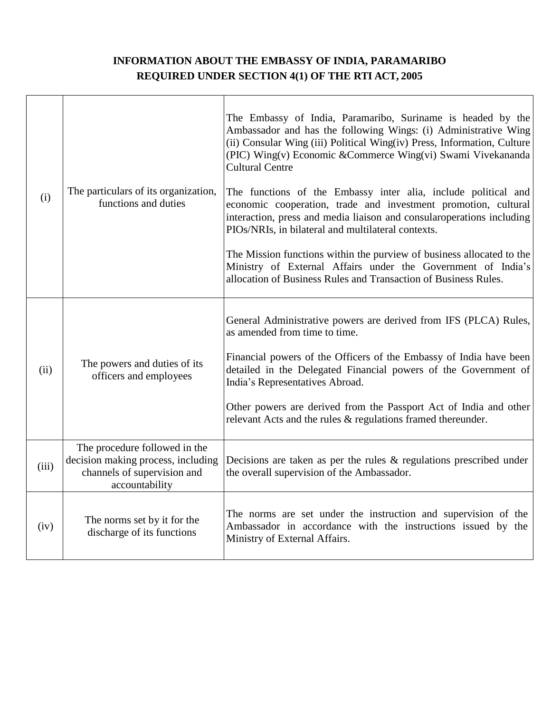## **INFORMATION ABOUT THE EMBASSY OF INDIA, PARAMARIBO REQUIRED UNDER SECTION 4(1) OF THE RTI ACT, 2005**

| (i)   | The particulars of its organization,<br>functions and duties                                                         | The Embassy of India, Paramaribo, Suriname is headed by the<br>Ambassador and has the following Wings: (i) Administrative Wing<br>(ii) Consular Wing (iii) Political Wing(iv) Press, Information, Culture<br>(PIC) Wing(v) Economic & Commerce Wing(vi) Swami Vivekananda<br><b>Cultural Centre</b><br>The functions of the Embassy inter alia, include political and<br>economic cooperation, trade and investment promotion, cultural<br>interaction, press and media liaison and consularoperations including<br>PIOs/NRIs, in bilateral and multilateral contexts.<br>The Mission functions within the purview of business allocated to the<br>Ministry of External Affairs under the Government of India's<br>allocation of Business Rules and Transaction of Business Rules. |
|-------|----------------------------------------------------------------------------------------------------------------------|------------------------------------------------------------------------------------------------------------------------------------------------------------------------------------------------------------------------------------------------------------------------------------------------------------------------------------------------------------------------------------------------------------------------------------------------------------------------------------------------------------------------------------------------------------------------------------------------------------------------------------------------------------------------------------------------------------------------------------------------------------------------------------|
| (ii)  | The powers and duties of its<br>officers and employees                                                               | General Administrative powers are derived from IFS (PLCA) Rules,<br>as amended from time to time.<br>Financial powers of the Officers of the Embassy of India have been<br>detailed in the Delegated Financial powers of the Government of<br>India's Representatives Abroad.<br>Other powers are derived from the Passport Act of India and other<br>relevant Acts and the rules & regulations framed thereunder.                                                                                                                                                                                                                                                                                                                                                                 |
| (iii) | The procedure followed in the<br>decision making process, including<br>channels of supervision and<br>accountability | Decisions are taken as per the rules $\&$ regulations prescribed under<br>the overall supervision of the Ambassador.                                                                                                                                                                                                                                                                                                                                                                                                                                                                                                                                                                                                                                                               |
| (iv)  | The norms set by it for the<br>discharge of its functions                                                            | The norms are set under the instruction and supervision of the<br>Ambassador in accordance with the instructions issued by the<br>Ministry of External Affairs.                                                                                                                                                                                                                                                                                                                                                                                                                                                                                                                                                                                                                    |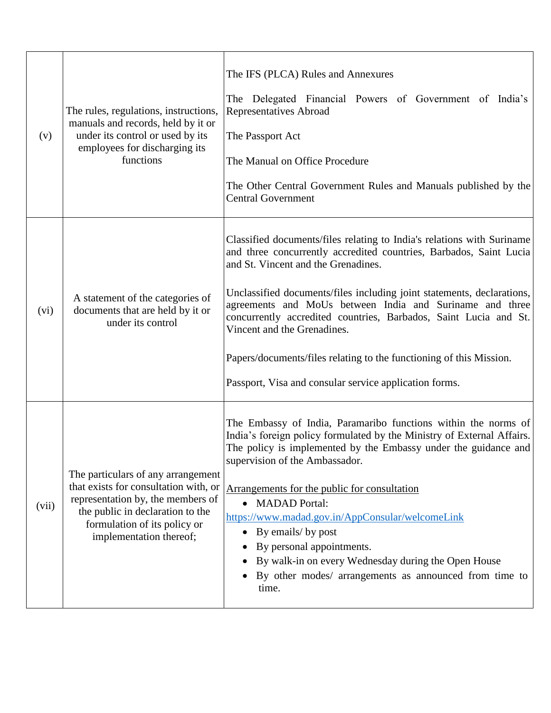| (v)   | The rules, regulations, instructions,<br>manuals and records, held by it or<br>under its control or used by its<br>employees for discharging its<br>functions                                                   | The IFS (PLCA) Rules and Annexures<br>The Delegated Financial Powers of Government of India's<br>Representatives Abroad<br>The Passport Act<br>The Manual on Office Procedure<br>The Other Central Government Rules and Manuals published by the<br><b>Central Government</b>                                                                                                                                                                                                                                                                                       |
|-------|-----------------------------------------------------------------------------------------------------------------------------------------------------------------------------------------------------------------|---------------------------------------------------------------------------------------------------------------------------------------------------------------------------------------------------------------------------------------------------------------------------------------------------------------------------------------------------------------------------------------------------------------------------------------------------------------------------------------------------------------------------------------------------------------------|
| (vi)  | A statement of the categories of<br>documents that are held by it or<br>under its control                                                                                                                       | Classified documents/files relating to India's relations with Suriname<br>and three concurrently accredited countries, Barbados, Saint Lucia<br>and St. Vincent and the Grenadines.<br>Unclassified documents/files including joint statements, declarations,<br>agreements and MoUs between India and Suriname and three<br>concurrently accredited countries, Barbados, Saint Lucia and St.<br>Vincent and the Grenadines.<br>Papers/documents/files relating to the functioning of this Mission.<br>Passport, Visa and consular service application forms.       |
| (vii) | The particulars of any arrangement<br>that exists for consultation with, or<br>representation by, the members of<br>the public in declaration to the<br>formulation of its policy or<br>implementation thereof; | The Embassy of India, Paramaribo functions within the norms of<br>India's foreign policy formulated by the Ministry of External Affairs.<br>The policy is implemented by the Embassy under the guidance and<br>supervision of the Ambassador.<br>Arrangements for the public for consultation<br><b>MADAD</b> Portal:<br>$\bullet$<br>https://www.madad.gov.in/AppConsular/welcomeLink<br>By emails/ by post<br>By personal appointments.<br>By walk-in on every Wednesday during the Open House<br>By other modes/ arrangements as announced from time to<br>time. |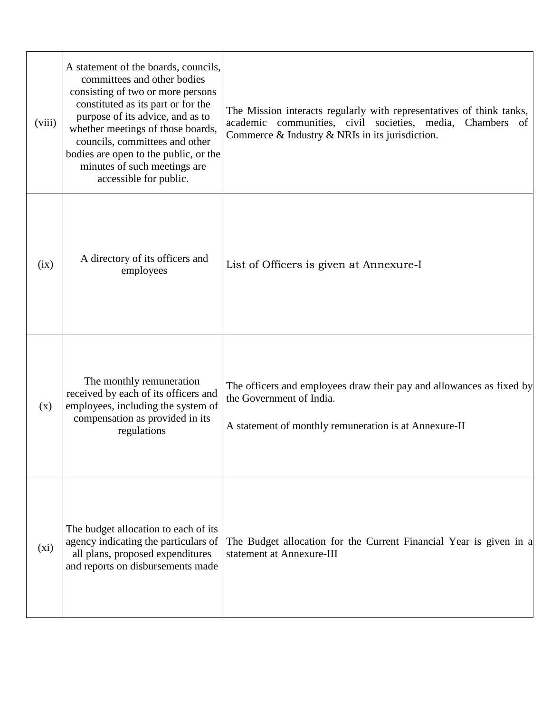| (viii) | A statement of the boards, councils,<br>committees and other bodies<br>consisting of two or more persons<br>constituted as its part or for the<br>purpose of its advice, and as to<br>whether meetings of those boards,<br>councils, committees and other<br>bodies are open to the public, or the<br>minutes of such meetings are<br>accessible for public. | The Mission interacts regularly with representatives of think tanks,<br>academic communities, civil societies, media, Chambers<br>of<br>Commerce $\&$ Industry $\&$ NRIs in its jurisdiction. |
|--------|--------------------------------------------------------------------------------------------------------------------------------------------------------------------------------------------------------------------------------------------------------------------------------------------------------------------------------------------------------------|-----------------------------------------------------------------------------------------------------------------------------------------------------------------------------------------------|
| (ix)   | A directory of its officers and<br>employees                                                                                                                                                                                                                                                                                                                 | List of Officers is given at Annexure-I                                                                                                                                                       |
| (x)    | The monthly remuneration<br>received by each of its officers and<br>employees, including the system of<br>compensation as provided in its<br>regulations                                                                                                                                                                                                     | The officers and employees draw their pay and allowances as fixed by<br>the Government of India.<br>A statement of monthly remuneration is at Annexure-II                                     |
| (xi)   | The budget allocation to each of its<br>agency indicating the particulars of<br>all plans, proposed expenditures<br>and reports on disbursements made                                                                                                                                                                                                        | The Budget allocation for the Current Financial Year is given in a<br>statement at Annexure-III                                                                                               |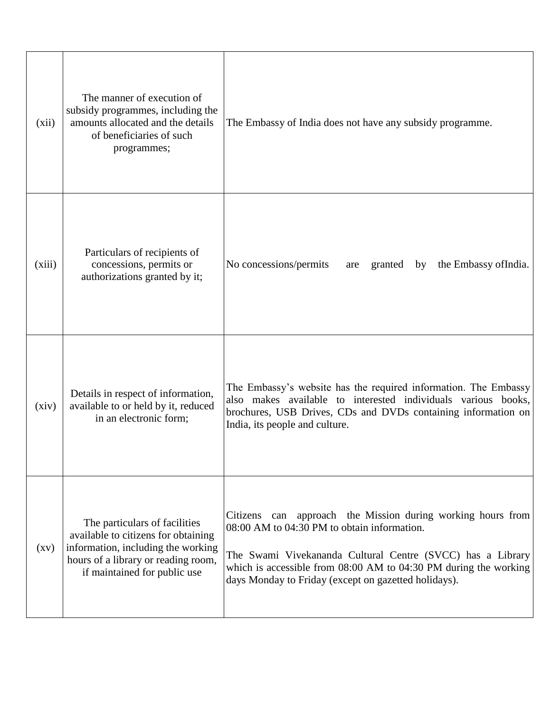| (xii)              | The manner of execution of<br>subsidy programmes, including the<br>amounts allocated and the details<br>of beneficiaries of such<br>programmes;                                   | The Embassy of India does not have any subsidy programme.                                                                                                                                                                                                                                                |
|--------------------|-----------------------------------------------------------------------------------------------------------------------------------------------------------------------------------|----------------------------------------------------------------------------------------------------------------------------------------------------------------------------------------------------------------------------------------------------------------------------------------------------------|
| (xiii)             | Particulars of recipients of<br>concessions, permits or<br>authorizations granted by it;                                                                                          | No concessions/permits<br>the Embassy of India.<br>granted by<br>are                                                                                                                                                                                                                                     |
| (xiv)              | Details in respect of information,<br>available to or held by it, reduced<br>in an electronic form;                                                                               | The Embassy's website has the required information. The Embassy<br>also makes available to interested individuals various books,<br>brochures, USB Drives, CDs and DVDs containing information on<br>India, its people and culture.                                                                      |
| $\left( xy\right)$ | The particulars of facilities<br>available to citizens for obtaining<br>information, including the working<br>hours of a library or reading room,<br>if maintained for public use | Citizens can approach the Mission during working hours from<br>08:00 AM to 04:30 PM to obtain information.<br>The Swami Vivekananda Cultural Centre (SVCC) has a Library<br>which is accessible from $08:00$ AM to $04:30$ PM during the working<br>days Monday to Friday (except on gazetted holidays). |